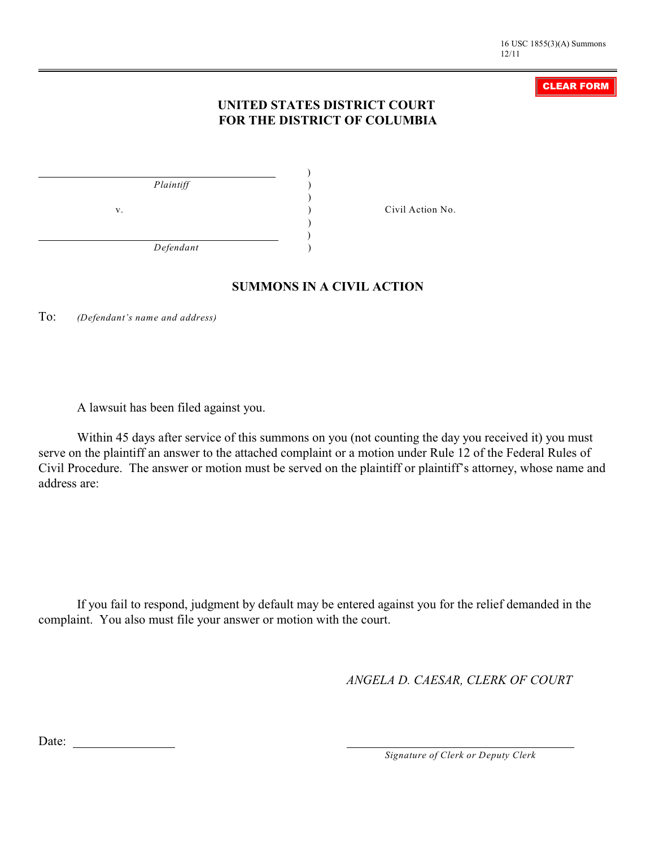#### CLEAR FORM

## **UNITED STATES DISTRICT COURT FOR THE DISTRICT OF COLUMBIA**

| Plaintiff |    |
|-----------|----|
|           |    |
|           | V. |
|           |    |
| Defendant |    |

v. ) Civil Action No.

### **SUMMONS IN A CIVIL ACTION**

To: *(Defendant's name and address)*

A lawsuit has been filed against you.

Within 45 days after service of this summons on you (not counting the day you received it) you must serve on the plaintiff an answer to the attached complaint or a motion under Rule 12 of the Federal Rules of Civil Procedure. The answer or motion must be served on the plaintiff or plaintiff's attorney, whose name and address are:

If you fail to respond, judgment by default may be entered against you for the relief demanded in the complaint. You also must file your answer or motion with the court.

*ANGELA D. CAESAR, CLERK OF COURT*

Date:

*Signature of Clerk or Deputy Clerk*